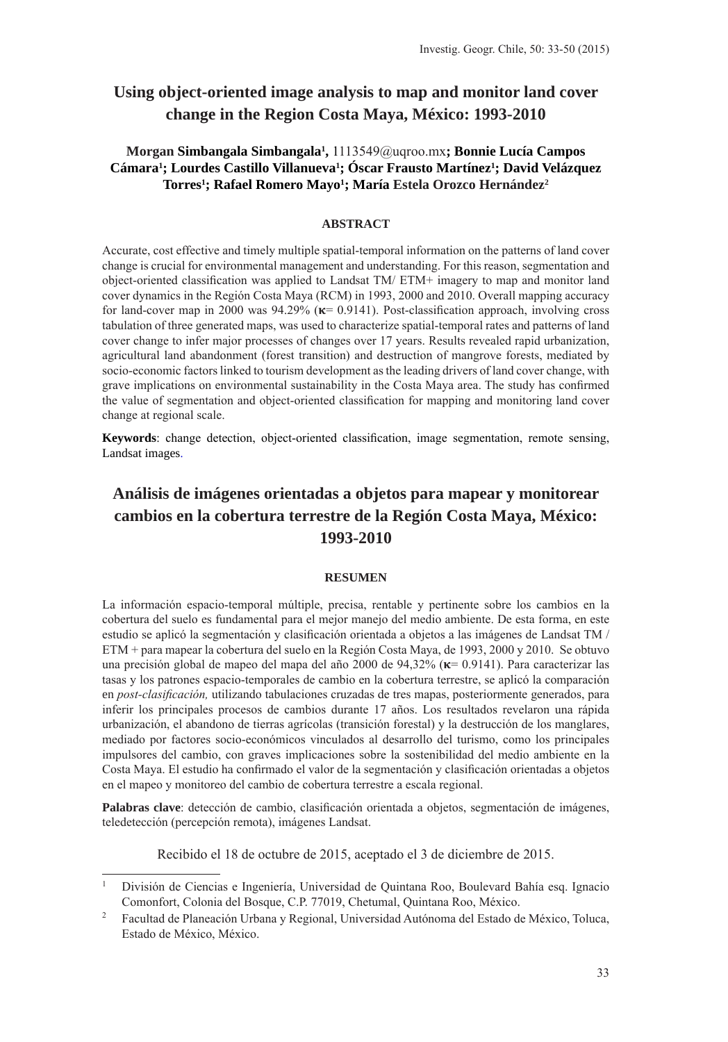# **Using object-oriented image analysis to map and monitor land cover change in the Region Costa Maya, México: 1993-2010**

# **Morgan Simbangala Simbangala1 ,** 1113549@uqroo.mx**; Bonnie Lucía Campos**  Cámara<sup>1</sup>; Lourdes Castillo Villanueva<sup>1</sup>; Oscar Frausto Martínez<sup>1</sup>; David Velázquez **Torres1 ; Rafael Romero Mayo1 ; María Estela Orozco Hernández2**

# **ABSTRACT**

Accurate, cost effective and timely multiple spatial-temporal information on the patterns of land cover change is crucial for environmental management and understanding. For this reason, segmentation and object-oriented classification was applied to Landsat TM/ ETM+ imagery to map and monitor land cover dynamics in the Región Costa Maya (RCM) in 1993, 2000 and 2010. Overall mapping accuracy for land-cover map in 2000 was  $94.29\%$  ( $\kappa$  = 0.9141). Post-classification approach, involving cross tabulation of three generated maps, was used to characterize spatial-temporal rates and patterns of land cover change to infer major processes of changes over 17 years. Results revealed rapid urbanization, agricultural land abandonment (forest transition) and destruction of mangrove forests, mediated by socio-economic factors linked to tourism development as the leading drivers of land cover change, with grave implications on environmental sustainability in the Costa Maya area. The study has confirmed the value of segmentation and object-oriented classification for mapping and monitoring land cover change at regional scale.

**Keywords**: change detection, object-oriented classification, image segmentation, remote sensing, Landsat images.

# **Análisis de imágenes orientadas a objetos para mapear y monitorear cambios en la cobertura terrestre de la Región Costa Maya, México: 1993-2010**

#### **RESUMEN**

La información espacio-temporal múltiple, precisa, rentable y pertinente sobre los cambios en la cobertura del suelo es fundamental para el mejor manejo del medio ambiente. De esta forma, en este estudio se aplicó la segmentación y clasificación orientada a objetos a las imágenes de Landsat TM / ETM + para mapear la cobertura del suelo en la Región Costa Maya, de 1993, 2000 y 2010. Se obtuvo una precisión global de mapeo del mapa del año 2000 de 94.32% ( $\kappa$  = 0.9141). Para caracterizar las tasas y los patrones espacio-temporales de cambio en la cobertura terrestre, se aplicó la comparación en *post-clasificación,* utilizando tabulaciones cruzadas de tres mapas, posteriormente generados, para inferir los principales procesos de cambios durante 17 años. Los resultados revelaron una rápida urbanización, el abandono de tierras agrícolas (transición forestal) y la destrucción de los manglares, mediado por factores socio-económicos vinculados al desarrollo del turismo, como los principales impulsores del cambio, con graves implicaciones sobre la sostenibilidad del medio ambiente en la Costa Maya. El estudio ha confirmado el valor de la segmentación y clasificación orientadas a objetos en el mapeo y monitoreo del cambio de cobertura terrestre a escala regional.

**Palabras clave**: detección de cambio, clasificación orientada a objetos, segmentación de imágenes, teledetección (percepción remota), imágenes Landsat.

Recibido el 18 de octubre de 2015, aceptado el 3 de diciembre de 2015.

<sup>1</sup> División de Ciencias e Ingeniería, Universidad de Quintana Roo, Boulevard Bahía esq. Ignacio Comonfort, Colonia del Bosque, C.P. 77019, Chetumal, Quintana Roo, México.

<sup>2</sup> Facultad de Planeación Urbana y Regional, Universidad Autónoma del Estado de México, Toluca, Estado de México, México.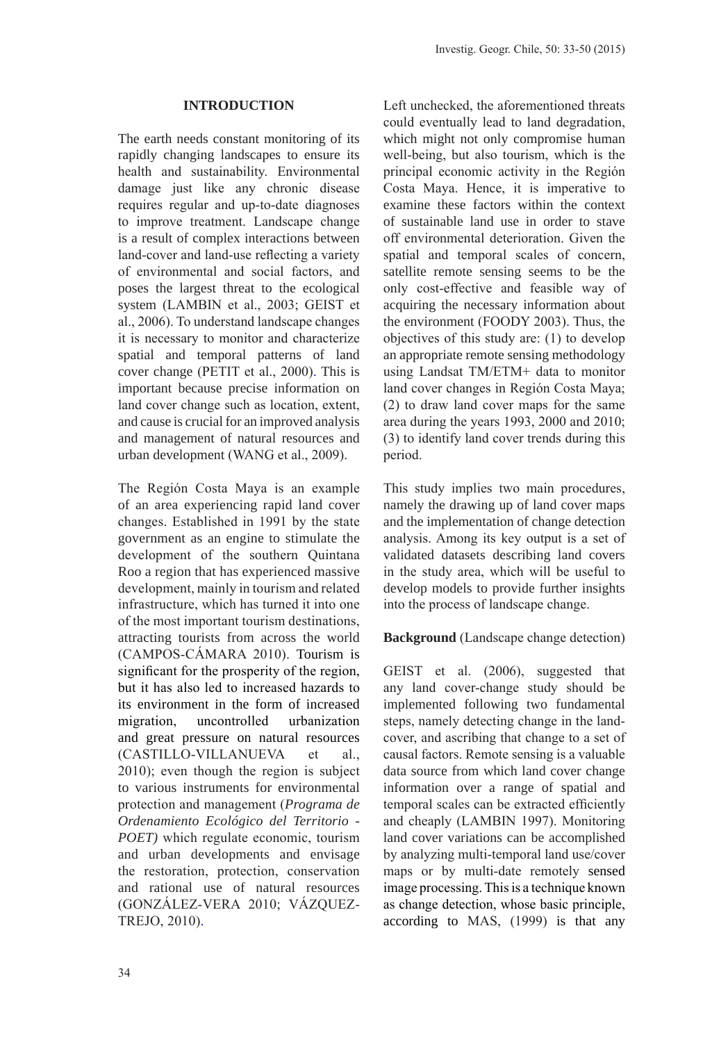#### **INTRODUCTION**

The earth needs constant monitoring of its rapidly changing landscapes to ensure its health and sustainability. Environmental damage just like any chronic disease requires regular and up-to-date diagnoses to improve treatment. Landscape change is a result of complex interactions between land-cover and land-use reflecting a variety of environmental and social factors, and poses the largest threat to the ecological system (LAMBIN et al., 2003; GEIST et al., 2006). To understand landscape changes it is necessary to monitor and characterize spatial and temporal patterns of land cover change (PETIT et al., 2000). This is important because precise information on land cover change such as location, extent, and cause is crucial for an improved analysis and management of natural resources and urban development (WANG et al., 2009).

The Región Costa Maya is an example of an area experiencing rapid land cover changes. Established in 1991 by the state government as an engine to stimulate the development of the southern Quintana Roo a region that has experienced massive development, mainly in tourism and related infrastructure, which has turned it into one of the most important tourism destinations, attracting tourists from across the world (CAMPOS-CÁMARA 2010). Tourism is significant for the prosperity of the region, but it has also led to increased hazards to its environment in the form of increased migration, uncontrolled urbanization and great pressure on natural resources (CASTILLO-VILLANUEVA et al., 2010); even though the region is subject to various instruments for environmental protection and management (*Programa de Ordenamiento Ecológico del Territorio - POET)* which regulate economic, tourism and urban developments and envisage the restoration, protection, conservation and rational use of natural resources (GONZÁLEZ-VERA 2010; VÁZQUEZ-TREJO, 2010).

Left unchecked, the aforementioned threats could eventually lead to land degradation, which might not only compromise human well-being, but also tourism, which is the principal economic activity in the Región Costa Maya. Hence, it is imperative to examine these factors within the context of sustainable land use in order to stave off environmental deterioration. Given the spatial and temporal scales of concern, satellite remote sensing seems to be the only cost-effective and feasible way of acquiring the necessary information about the environment (FOODY 2003). Thus, the objectives of this study are: (1) to develop an appropriate remote sensing methodology using Landsat TM/ETM+ data to monitor land cover changes in Región Costa Maya; (2) to draw land cover maps for the same area during the years 1993, 2000 and 2010; (3) to identify land cover trends during this period.

This study implies two main procedures, namely the drawing up of land cover maps and the implementation of change detection analysis. Among its key output is a set of validated datasets describing land covers in the study area, which will be useful to develop models to provide further insights into the process of landscape change.

#### **Background** (Landscape change detection)

GEIST et al. (2006), suggested that any land cover-change study should be implemented following two fundamental steps, namely detecting change in the landcover, and ascribing that change to a set of causal factors. Remote sensing is a valuable data source from which land cover change information over a range of spatial and temporal scales can be extracted efficiently and cheaply (LAMBIN 1997). Monitoring land cover variations can be accomplished by analyzing multi-temporal land use/cover maps or by multi-date remotely sensed image processing. This is a technique known as change detection, whose basic principle, according to MAS, (1999) is that any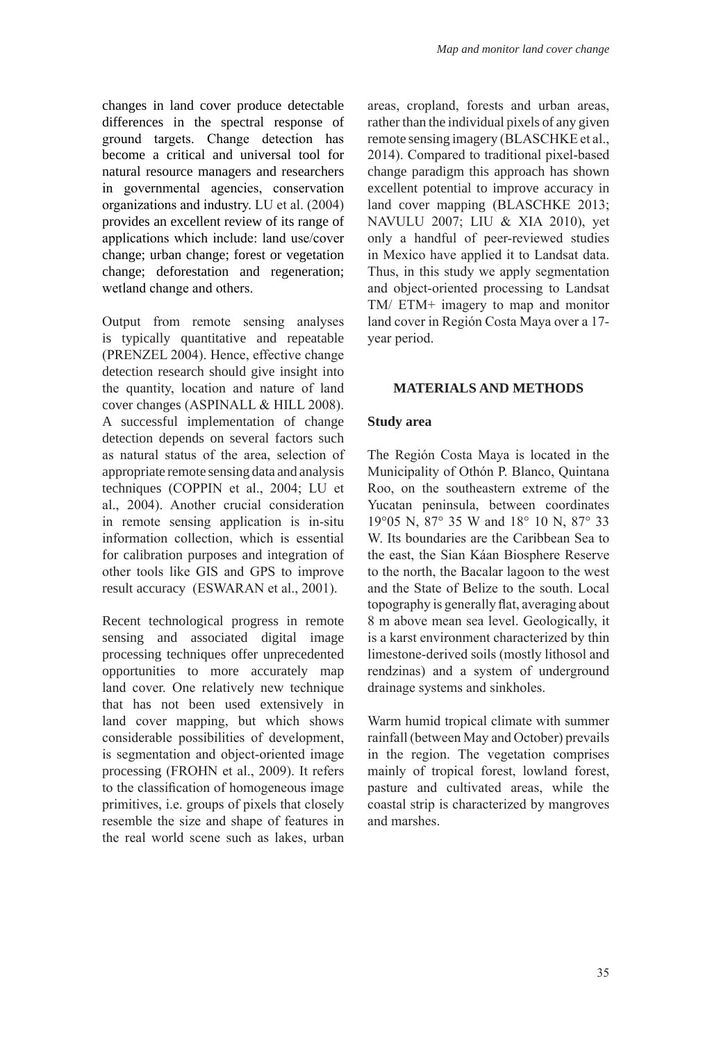changes in land cover produce detectable differences in the spectral response of ground targets. Change detection has become a critical and universal tool for natural resource managers and researchers in governmental agencies, conservation organizations and industry. LU et al. (2004) provides an excellent review of its range of applications which include: land use/cover change; urban change; forest or vegetation change; deforestation and regeneration; wetland change and others.

Output from remote sensing analyses is typically quantitative and repeatable (PRENZEL 2004). Hence, effective change detection research should give insight into the quantity, location and nature of land cover changes (ASPINALL & HILL 2008). A successful implementation of change detection depends on several factors such as natural status of the area, selection of appropriate remote sensing data and analysis techniques (COPPIN et al., 2004; LU et al., 2004). Another crucial consideration in remote sensing application is in-situ information collection, which is essential for calibration purposes and integration of other tools like GIS and GPS to improve result accuracy (ESWARAN et al., 2001).

Recent technological progress in remote sensing and associated digital image processing techniques offer unprecedented opportunities to more accurately map land cover. One relatively new technique that has not been used extensively in land cover mapping, but which shows considerable possibilities of development, is segmentation and object-oriented image processing (FROHN et al., 2009). It refers to the classification of homogeneous image primitives, i.e. groups of pixels that closely resemble the size and shape of features in the real world scene such as lakes, urban

areas, cropland, forests and urban areas, rather than the individual pixels of any given remote sensing imagery (BLASCHKE et al., 2014). Compared to traditional pixel-based change paradigm this approach has shown excellent potential to improve accuracy in land cover mapping (BLASCHKE 2013; NAVULU 2007; LIU & XIA 2010), yet only a handful of peer-reviewed studies in Mexico have applied it to Landsat data. Thus, in this study we apply segmentation and object-oriented processing to Landsat TM/ ETM+ imagery to map and monitor land cover in Región Costa Maya over a 17 year period.

#### **MATERIALS AND METHODS**

#### **Study area**

The Región Costa Maya is located in the Municipality of Othón P. Blanco, Quintana Roo, on the southeastern extreme of the Yucatan peninsula, between coordinates 19°05 N, 87° 35 W and 18° 10 N, 87° 33 W. Its boundaries are the Caribbean Sea to the east, the Sian Káan Biosphere Reserve to the north, the Bacalar lagoon to the west and the State of Belize to the south. Local topography is generally flat, averaging about 8 m above mean sea level. Geologically, it is a karst environment characterized by thin limestone-derived soils (mostly lithosol and rendzinas) and a system of underground drainage systems and sinkholes.

Warm humid tropical climate with summer rainfall (between May and October) prevails in the region. The vegetation comprises mainly of tropical forest, lowland forest, pasture and cultivated areas, while the coastal strip is characterized by mangroves and marshes.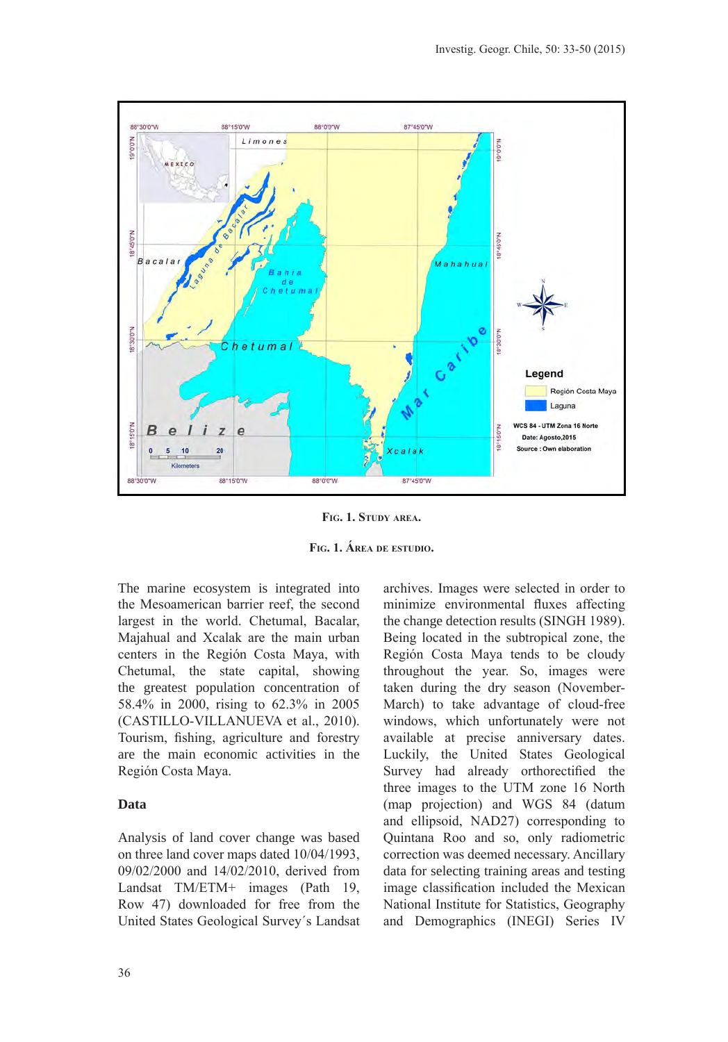

**Fig. 1. Study area.**

**Fig. 1. Área de estudio.**

The marine ecosystem is integrated into the Mesoamerican barrier reef, the second largest in the world. Chetumal, Bacalar, Majahual and Xcalak are the main urban centers in the Región Costa Maya, with Chetumal, the state capital, showing the greatest population concentration of 58.4% in 2000, rising to 62.3% in 2005 (CASTILLO-VILLANUEVA et al., 2010). Tourism, fishing, agriculture and forestry are the main economic activities in the Región Costa Maya.

# **Data**

Analysis of land cover change was based on three land cover maps dated 10/04/1993, 09/02/2000 and 14/02/2010, derived from Landsat TM/ETM+ images (Path 19, Row 47) downloaded for free from the United States Geological Survey´s Landsat archives. Images were selected in order to minimize environmental fluxes affecting the change detection results (SINGH 1989). Being located in the subtropical zone, the Región Costa Maya tends to be cloudy throughout the year. So, images were taken during the dry season (November-March) to take advantage of cloud-free windows, which unfortunately were not available at precise anniversary dates. Luckily, the United States Geological Survey had already orthorectified the three images to the UTM zone 16 North (map projection) and WGS 84 (datum and ellipsoid, NAD27) corresponding to Quintana Roo and so, only radiometric correction was deemed necessary. Ancillary data for selecting training areas and testing image classification included the Mexican National Institute for Statistics, Geography and Demographics (INEGI) Series IV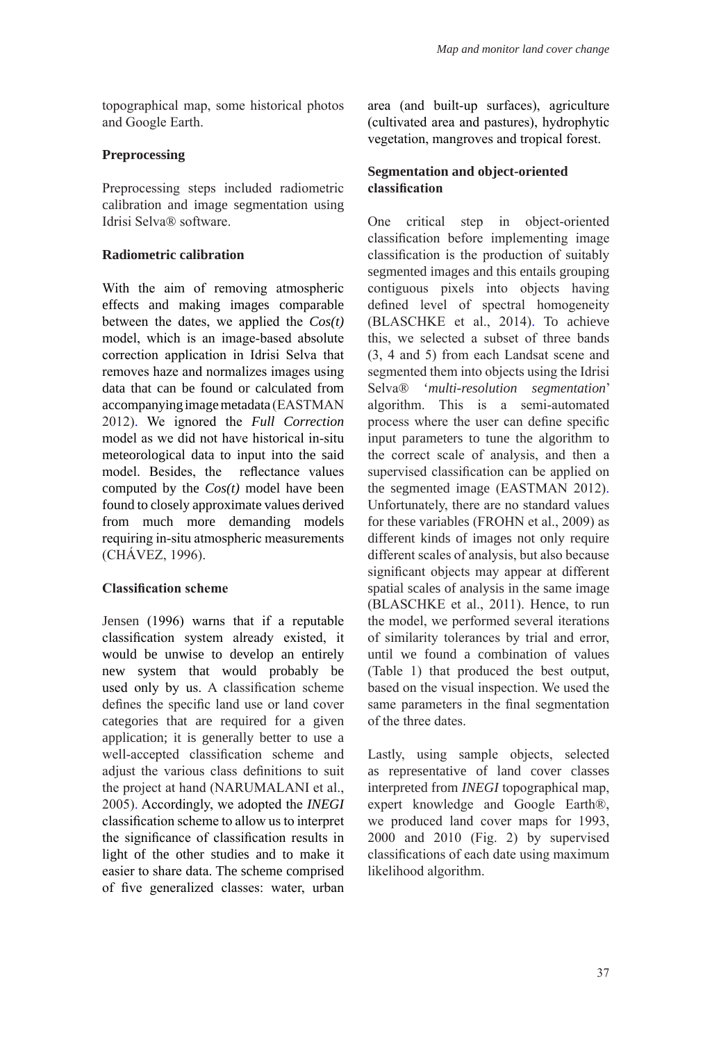topographical map, some historical photos and Google Earth.

### **Preprocessing**

Preprocessing steps included radiometric calibration and image segmentation using Idrisi Selva® software.

# **Radiometric calibration**

With the aim of removing atmospheric effects and making images comparable between the dates, we applied the *Cos(t)* model, which is an image-based absolute correction application in Idrisi Selva that removes haze and normalizes images using data that can be found or calculated from accompanying image metadata (EASTMAN 2012). We ignored the *Full Correction* model as we did not have historical in-situ meteorological data to input into the said model. Besides, the reflectance values computed by the *Cos(t)* model have been found to closely approximate values derived from much more demanding models requiring in-situ atmospheric measurements (CHÁVEZ, 1996).

# **Classification scheme**

Jensen (1996) warns that if a reputable classification system already existed, it would be unwise to develop an entirely new system that would probably be used only by us. A classification scheme defines the specific land use or land cover categories that are required for a given application; it is generally better to use a well-accepted classification scheme and adjust the various class definitions to suit the project at hand (NARUMALANI et al., 2005). Accordingly, we adopted the *INEGI* classification scheme to allow us to interpret the significance of classification results in light of the other studies and to make it easier to share data. The scheme comprised of five generalized classes: water, urban area (and built-up surfaces), agriculture (cultivated area and pastures), hydrophytic vegetation, mangroves and tropical forest.

# **Segmentation and object-oriented classification**

One critical step in object-oriented classification before implementing image classification is the production of suitably segmented images and this entails grouping contiguous pixels into objects having defined level of spectral homogeneity (BLASCHKE et al., 2014). To achieve this, we selected a subset of three bands (3, 4 and 5) from each Landsat scene and segmented them into objects using the Idrisi Selva® '*multi-resolution segmentation*' algorithm. This is a semi-automated process where the user can define specific input parameters to tune the algorithm to the correct scale of analysis, and then a supervised classification can be applied on the segmented image (EASTMAN 2012). Unfortunately, there are no standard values for these variables (FROHN et al., 2009) as different kinds of images not only require different scales of analysis, but also because significant objects may appear at different spatial scales of analysis in the same image (BLASCHKE et al., 2011). Hence, to run the model, we performed several iterations of similarity tolerances by trial and error, until we found a combination of values (Table 1) that produced the best output, based on the visual inspection. We used the same parameters in the final segmentation of the three dates.

Lastly, using sample objects, selected as representative of land cover classes interpreted from *INEGI* topographical map, expert knowledge and Google Earth®, we produced land cover maps for 1993, 2000 and 2010 (Fig. 2) by supervised classifications of each date using maximum likelihood algorithm.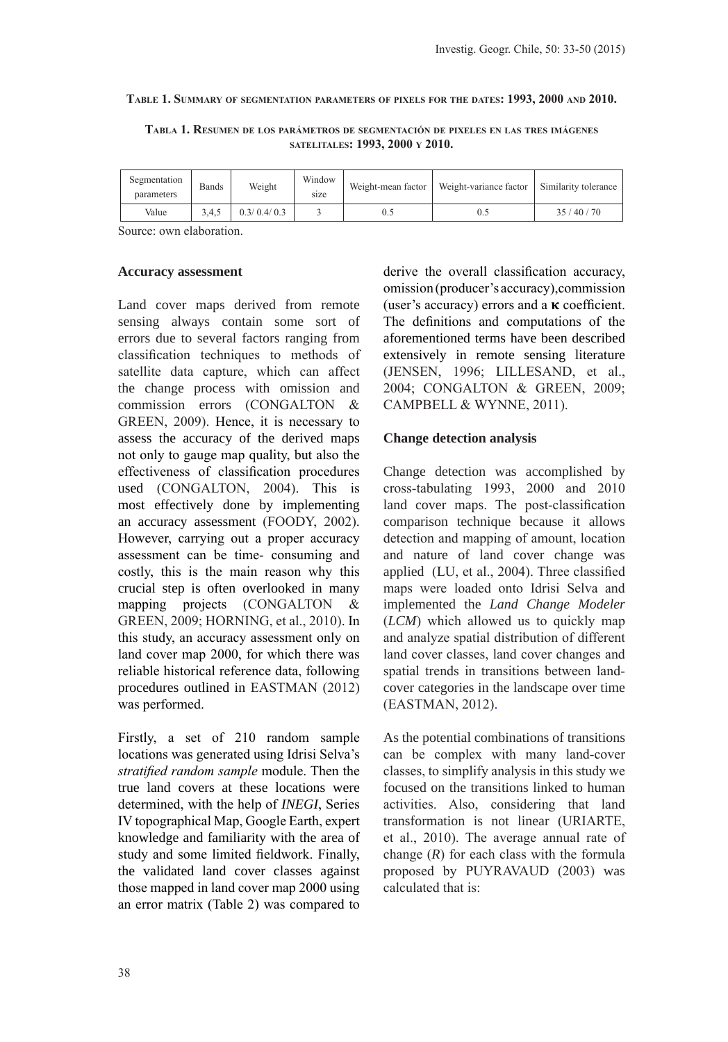#### **Table 1. Summary of segmentation parameters of pixels for the dates: 1993, 2000 and 2010.**

**Tabla 1. Resumen de los parámetros de segmentación de pixeles en las tres imágenes satelitales: 1993, 2000 y 2010.**

| Segmentation<br>parameters | Bands | Weight      | Window<br>size | Weight-mean factor | Weight-variance factor | Similarity tolerance |  |
|----------------------------|-------|-------------|----------------|--------------------|------------------------|----------------------|--|
| Value                      | 3.4.5 | 0.3/0.4/0.3 |                |                    |                        | 35/40/70             |  |

Source: own elaboration.

#### **Accuracy assessment**

Land cover maps derived from remote sensing always contain some sort of errors due to several factors ranging from classification techniques to methods of satellite data capture, which can affect the change process with omission and commission errors (CONGALTON & GREEN, 2009). Hence, it is necessary to assess the accuracy of the derived maps not only to gauge map quality, but also the effectiveness of classification procedures used (CONGALTON, 2004). This is most effectively done by implementing an accuracy assessment (FOODY, 2002). However, carrying out a proper accuracy assessment can be time- consuming and costly, this is the main reason why this crucial step is often overlooked in many mapping projects (CONGALTON & GREEN, 2009; HORNING, et al., 2010). In this study, an accuracy assessment only on land cover map 2000, for which there was reliable historical reference data, following procedures outlined in EASTMAN (2012) was performed.

Firstly, a set of 210 random sample locations was generated using Idrisi Selva's *stratified random sample* module. Then the true land covers at these locations were determined, with the help of *INEGI*, Series IV topographical Map, Google Earth, expert knowledge and familiarity with the area of study and some limited fieldwork. Finally, the validated land cover classes against those mapped in land cover map 2000 using an error matrix (Table 2) was compared to derive the overall classification accuracy, omission (producer's accuracy),commission (user's accuracy) errors and a  $\kappa$  coefficient. The definitions and computations of the aforementioned terms have been described extensively in remote sensing literature (JENSEN, 1996; LILLESAND, et al., 2004; CONGALTON & GREEN, 2009; CAMPBELL & WYNNE, 2011).

# **Change detection analysis**

Change detection was accomplished by cross-tabulating 1993, 2000 and 2010 land cover maps. The post-classification comparison technique because it allows detection and mapping of amount, location and nature of land cover change was applied (LU, et al., 2004). Three classified maps were loaded onto Idrisi Selva and implemented the *Land Change Modeler* (*LCM*) which allowed us to quickly map and analyze spatial distribution of different land cover classes, land cover changes and spatial trends in transitions between landcover categories in the landscape over time (EASTMAN, 2012).

As the potential combinations of transitions can be complex with many land-cover classes, to simplify analysis in this study we focused on the transitions linked to human activities. Also, considering that land transformation is not linear (URIARTE, et al., 2010). The average annual rate of change (*R*) for each class with the formula proposed by PUYRAVAUD (2003) was calculated that is: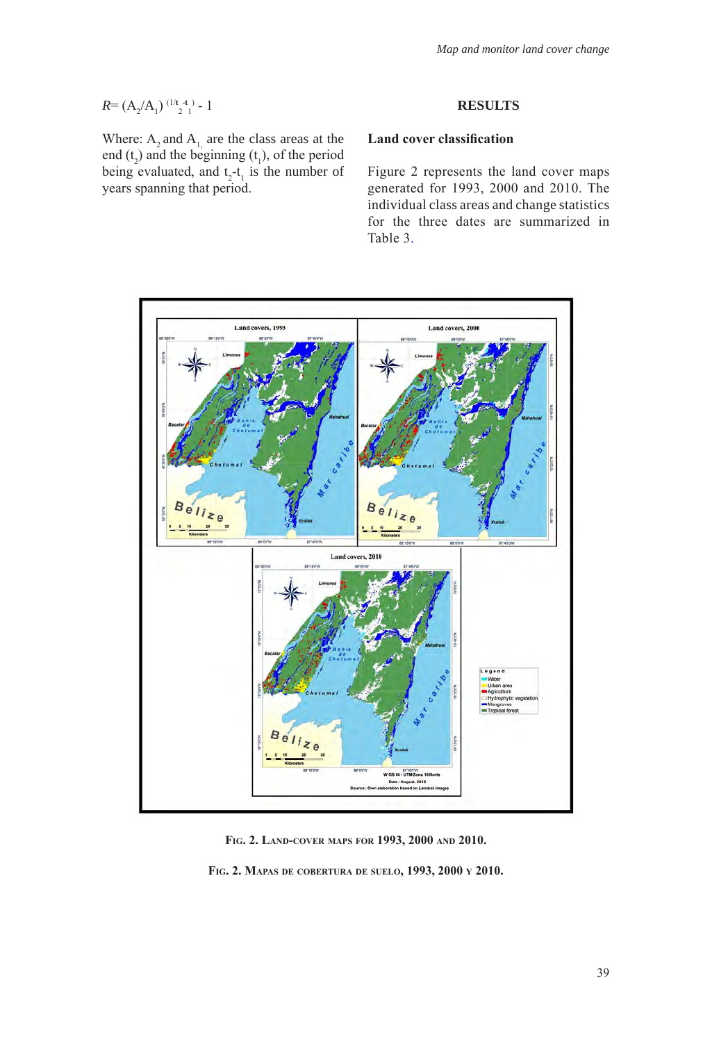$$
R = (A_2/A_1)^{((1/t - t_1)} - 1)
$$

Where:  $A_2$  and  $A_1$  are the class areas at the end  $(t_2)$  and the beginning  $(t_1)$ , of the period being evaluated, and  $t_2 - t_1$  is the number of years spanning that period.

# **RESULTS**

# **Land cover classification**

Figure 2 represents the land cover maps generated for 1993, 2000 and 2010. The individual class areas and change statistics for the three dates are summarized in Table 3.



**Fig. 2. Land-cover maps for 1993, 2000 and 2010.**

**Fig. 2. Mapas de cobertura de suelo, 1993, 2000 y 2010.**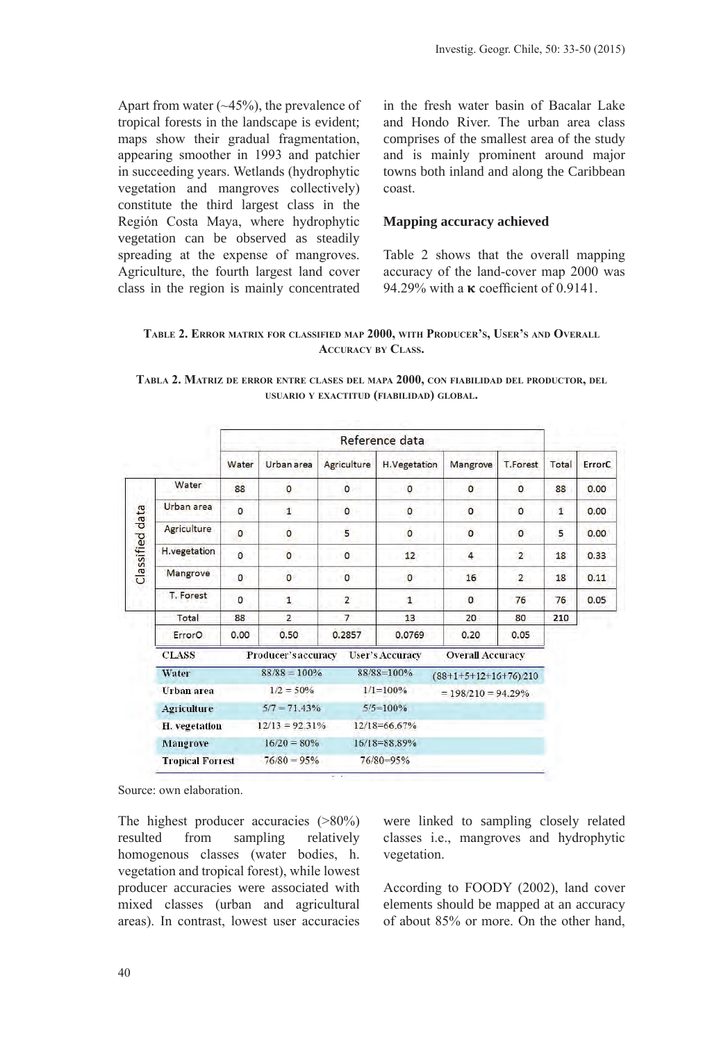Apart from water  $(\sim45\%)$ , the prevalence of tropical forests in the landscape is evident; maps show their gradual fragmentation, appearing smoother in 1993 and patchier in succeeding years. Wetlands (hydrophytic vegetation and mangroves collectively) constitute the third largest class in the Región Costa Maya, where hydrophytic vegetation can be observed as steadily spreading at the expense of mangroves. Agriculture, the fourth largest land cover class in the region is mainly concentrated

in the fresh water basin of Bacalar Lake and Hondo River. The urban area class comprises of the smallest area of the study and is mainly prominent around major towns both inland and along the Caribbean coast.

#### **Mapping accuracy achieved**

Table 2 shows that the overall mapping accuracy of the land-cover map 2000 was 94.29% with a  $\kappa$  coefficient of 0.9141.

# **Table 2. Error matrix for classified map 2000, with Producer's, User's and Overall Accuracy by Class.**

|                 |                                     | Reference data |                   |                    |                        |                         |                 |              |        |
|-----------------|-------------------------------------|----------------|-------------------|--------------------|------------------------|-------------------------|-----------------|--------------|--------|
|                 |                                     | Water          | Urban area        | <b>Agriculture</b> | H.Vegetation           | Mangrove                | <b>T.Forest</b> | Total        | ErrorC |
|                 | Water                               | 88             | $\circ$           | $\mathbf{O}$       | $\circ$                | $\mathbf{O}$            | $\Omega$        | 88           | 0.00   |
|                 | Urban area                          | $\bf{0}$       | $\mathbf{1}$      | $\mathbf{0}$       | $\mathbf 0$            | $\bf{0}$                | $\mathbf{0}$    | $\mathbf{1}$ | 0.00   |
|                 | Agriculture                         | $\mathbf{O}$   | $\circ$           | 5                  | 0                      | $\mathbf{O}$            | $\circ$         | 5            | 0.00   |
| Classified data | H.vegetation                        | $\Omega$       | $\circ$           | $\circ$            | 12                     | $\overline{4}$          | $\overline{2}$  | 18           | 0.33   |
|                 | Mangrove                            | $\mathbf{0}$   | $\overline{0}$    | $\bf{0}$           | $\mathbf 0$            | 16                      | $\overline{2}$  | 18           | 0.11   |
|                 | T. Forest                           | $\overline{0}$ | $\mathbf{1}$      | $\overline{2}$     | $\mathbf{1}$           | $\mathbf{0}$            | 76              | 76           | 0.05   |
|                 | Total                               | 88             | $\overline{2}$    | $\overline{7}$     | 13                     | 20                      | 80              | 210          |        |
|                 | ErrorO                              | 0,00           | 0,50              | 0.2857             | 0.0769                 | 0,20                    | 0.05            |              |        |
|                 | <b>CLASS</b><br>Producer's accuracy |                |                   |                    | <b>User's Accuracy</b> | <b>Overall Accuracy</b> |                 |              |        |
|                 | Water                               |                | $88/88 = 100\%$   |                    | $88/88=100%$           | $(88+1+5+12+16+76)/210$ |                 |              |        |
|                 | Urban area                          |                | $1/2 = 50\%$      | $1/1 = 100\%$      |                        | $= 198/210 = 94.29\%$   |                 |              |        |
|                 | <b>Agriculture</b>                  |                | $5/7 = 71.43\%$   |                    | $5/5 = 100%$           |                         |                 |              |        |
|                 | H. vegetation                       |                | $12/13 = 92.31\%$ |                    | $12/18 = 66.67%$       |                         |                 |              |        |
|                 | Mangrove                            |                | $16/20 = 80\%$    |                    | $16/18 = 88.89\%$      |                         |                 |              |        |
|                 | <b>Tropical Forrest</b>             |                | $76/80 = 95%$     |                    | $76/80=95%$            |                         |                 |              |        |

**Tabla 2. Matriz de error entre clases del mapa 2000, con fiabilidad del productor, del usuario <sup>y</sup> exactitud (fiabilidad) global.**

Source: own elaboration.

The highest producer accuracies (>80%) resulted from sampling relatively homogenous classes (water bodies, h. vegetation and tropical forest), while lowest producer accuracies were associated with mixed classes (urban and agricultural areas). In contrast, lowest user accuracies

were linked to sampling closely related classes i.e., mangroves and hydrophytic vegetation.

According to FOODY (2002), land cover elements should be mapped at an accuracy of about 85% or more. On the other hand,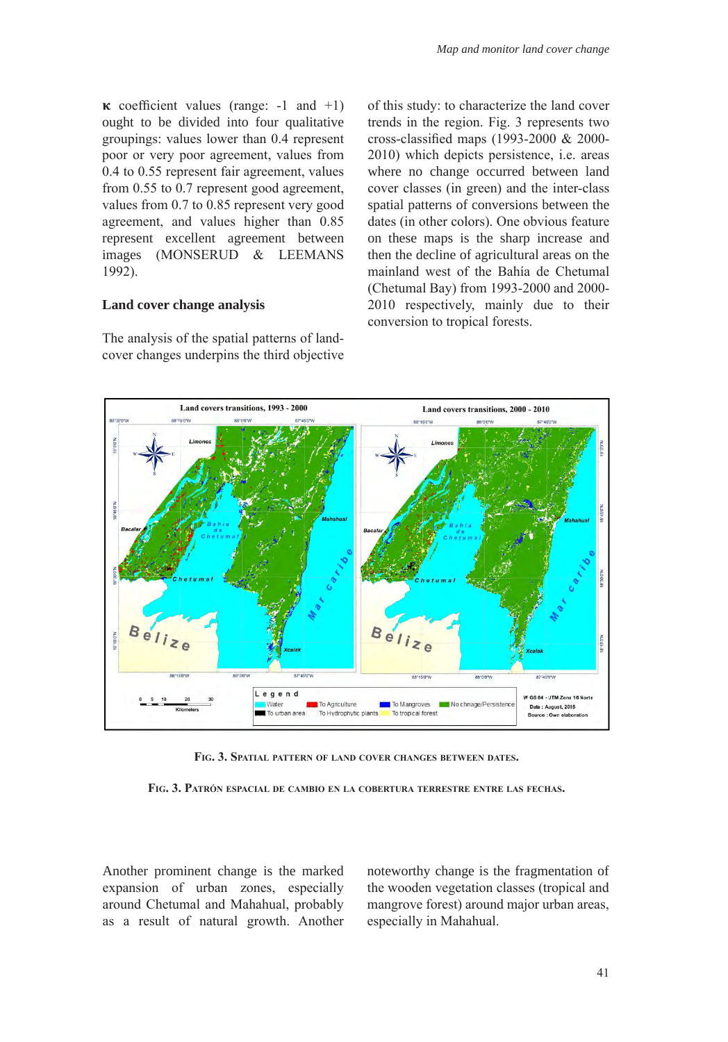$\kappa$  coefficient values (range: -1 and +1) ought to be divided into four qualitative groupings: values lower than 0.4 represent poor or very poor agreement, values from 0.4 to 0.55 represent fair agreement, values from 0.55 to 0.7 represent good agreement, values from 0.7 to 0.85 represent very good agreement, and values higher than 0.85 represent excellent agreement between images (MONSERUD & LEEMANS 1992).

#### **Land cover change analysis**

The analysis of the spatial patterns of landcover changes underpins the third objective of this study: to characterize the land cover trends in the region. Fig. 3 represents two cross-classified maps (1993-2000 & 2000- 2010) which depicts persistence, i.e. areas where no change occurred between land cover classes (in green) and the inter-class spatial patterns of conversions between the dates (in other colors). One obvious feature on these maps is the sharp increase and then the decline of agricultural areas on the mainland west of the Bahía de Chetumal (Chetumal Bay) from 1993-2000 and 2000- 2010 respectively, mainly due to their conversion to tropical forests.



**Fig. 3. Spatial pattern of land cover changes between dates.**

**Fig. 3. Patrón espacial de cambio en la cobertura terrestre entre las fechas.** 

Another prominent change is the marked expansion of urban zones, especially around Chetumal and Mahahual, probably as a result of natural growth. Another noteworthy change is the fragmentation of the wooden vegetation classes (tropical and mangrove forest) around major urban areas, especially in Mahahual.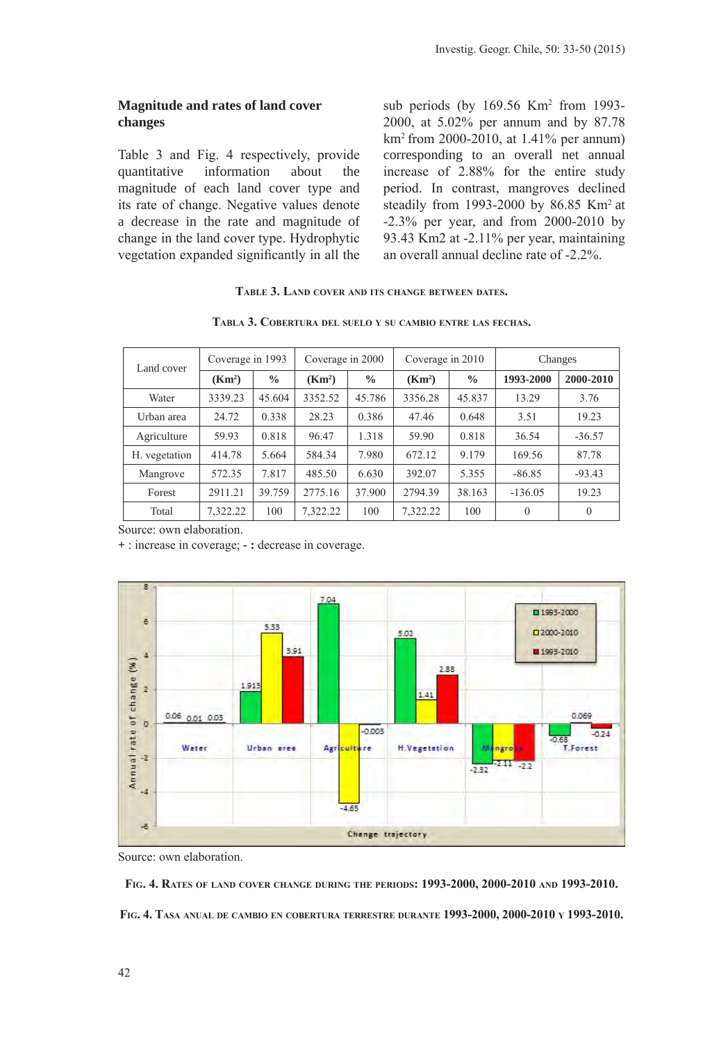# **Magnitude and rates of land cover changes**

Table 3 and Fig. 4 respectively, provide quantitative information about the magnitude of each land cover type and its rate of change. Negative values denote a decrease in the rate and magnitude of change in the land cover type. Hydrophytic vegetation expanded significantly in all the

sub periods (by 169.56 Km2 from 1993- 2000, at 5.02% per annum and by 87.78 km2 from 2000-2010, at 1.41% per annum) corresponding to an overall net annual increase of 2.88% for the entire study period. In contrast, mangroves declined steadily from 1993-2000 by 86.85 Km2 at -2.3% per year, and from 2000-2010 by 93.43 Km2 at -2.11% per year, maintaining an overall annual decline rate of -2.2%.

# **Table 3. Land cover and its change between dates.**

**Tabla 3. Cobertura del suelo <sup>y</sup> su cambio entre las fechas.**

| ver | Coverage in 1993 Coverage in 2000 Coverage in 2010 | Change |
|-----|----------------------------------------------------|--------|

| Land cover    | Coverage in 1993   |               | Coverage in 2000   |               | Coverage in 2010   |               | Changes        |           |
|---------------|--------------------|---------------|--------------------|---------------|--------------------|---------------|----------------|-----------|
|               | (Km <sup>2</sup> ) | $\frac{0}{0}$ | (Km <sup>2</sup> ) | $\frac{0}{0}$ | (Km <sup>2</sup> ) | $\frac{0}{0}$ | 1993-2000      | 2000-2010 |
| Water         | 3339.23            | 45.604        | 3352.52            | 45.786        | 3356.28            | 45.837        | 13.29          | 3.76      |
| Urban area    | 24.72              | 0.338         | 28.23              | 0.386         | 47.46              | 0.648         | 3.51           | 19.23     |
| Agriculture   | 59.93              | 0.818         | 96.47              | 1.318         | 59.90              | 0.818         | 36.54          | $-36.57$  |
| H. vegetation | 414.78             | 5.664         | 584.34             | 7.980         | 672.12             | 9.179         | 169.56         | 87.78     |
| Mangrove      | 572.35             | 7.817         | 485.50             | 6.630         | 392.07             | 5.355         | $-86.85$       | $-93.43$  |
| Forest        | 2911.21            | 39.759        | 2775.16            | 37.900        | 2794.39            | 38.163        | $-136.05$      | 19.23     |
| Total         | 7,322.22           | 100           | 7,322.22           | 100           | 7,322.22           | 100           | $\overline{0}$ | $\theta$  |

Source: own elaboration.

**+** : increase in coverage; **- :** decrease in coverage.



Source: own elaboration.

**Fig. 4. Rates of land cover change during the periods: 1993-2000, 2000-2010 and 1993-2010. Fig. 4. Tasa anual de cambio en cobertura terrestre durante 1993-2000, 2000-2010 y 1993-2010.**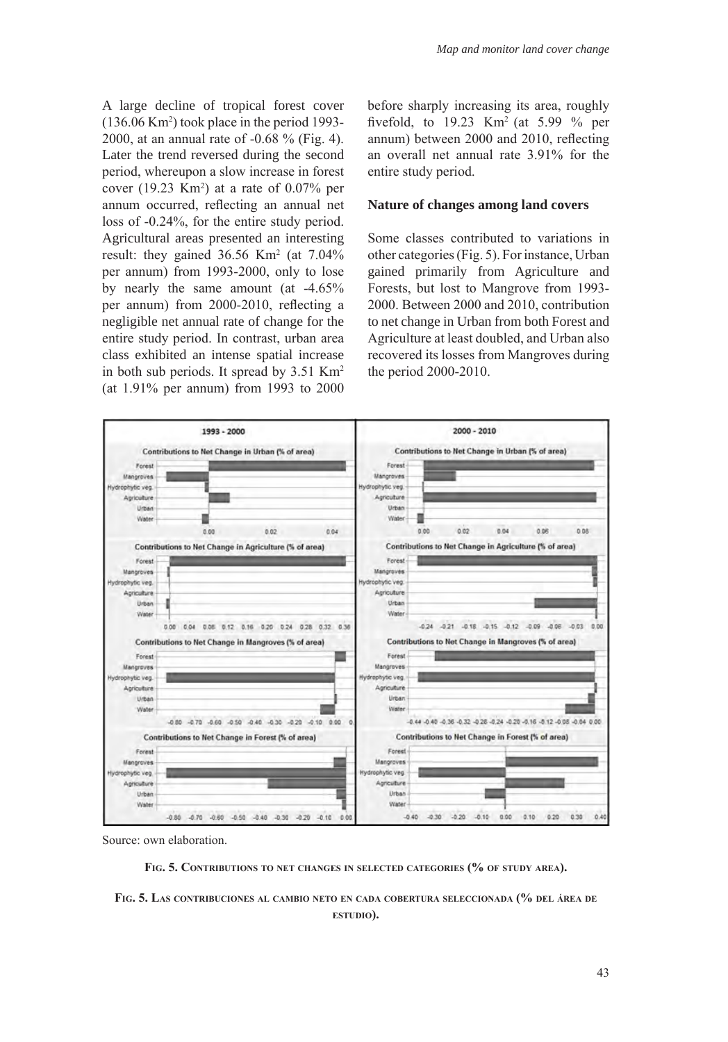A large decline of tropical forest cover  $(136.06 \text{ Km}^2)$  took place in the period 1993-2000, at an annual rate of -0.68 % (Fig. 4). Later the trend reversed during the second period, whereupon a slow increase in forest cover  $(19.23 \text{ Km}^2)$  at a rate of  $0.07\%$  per annum occurred, reflecting an annual net loss of -0.24%, for the entire study period. Agricultural areas presented an interesting result: they gained  $36.56 \text{ Km}^2$  (at  $7.04\%$ ) per annum) from 1993-2000, only to lose by nearly the same amount (at -4.65% per annum) from 2000-2010, reflecting a negligible net annual rate of change for the entire study period. In contrast, urban area class exhibited an intense spatial increase in both sub periods. It spread by 3.51 Km2 (at 1.91% per annum) from 1993 to 2000

before sharply increasing its area, roughly fivefold, to  $19.23$  Km<sup>2</sup> (at  $5.99$  % per annum) between 2000 and 2010, reflecting an overall net annual rate 3.91% for the entire study period.

#### **Nature of changes among land covers**

Some classes contributed to variations in other categories (Fig. 5). For instance, Urban gained primarily from Agriculture and Forests, but lost to Mangrove from 1993- 2000. Between 2000 and 2010, contribution to net change in Urban from both Forest and Agriculture at least doubled, and Urban also recovered its losses from Mangroves during the period 2000-2010.



Source: own elaboration.



**Fig. 5. Las contribuciones al cambio neto en cada cobertura seleccionada (% del área de estudio).**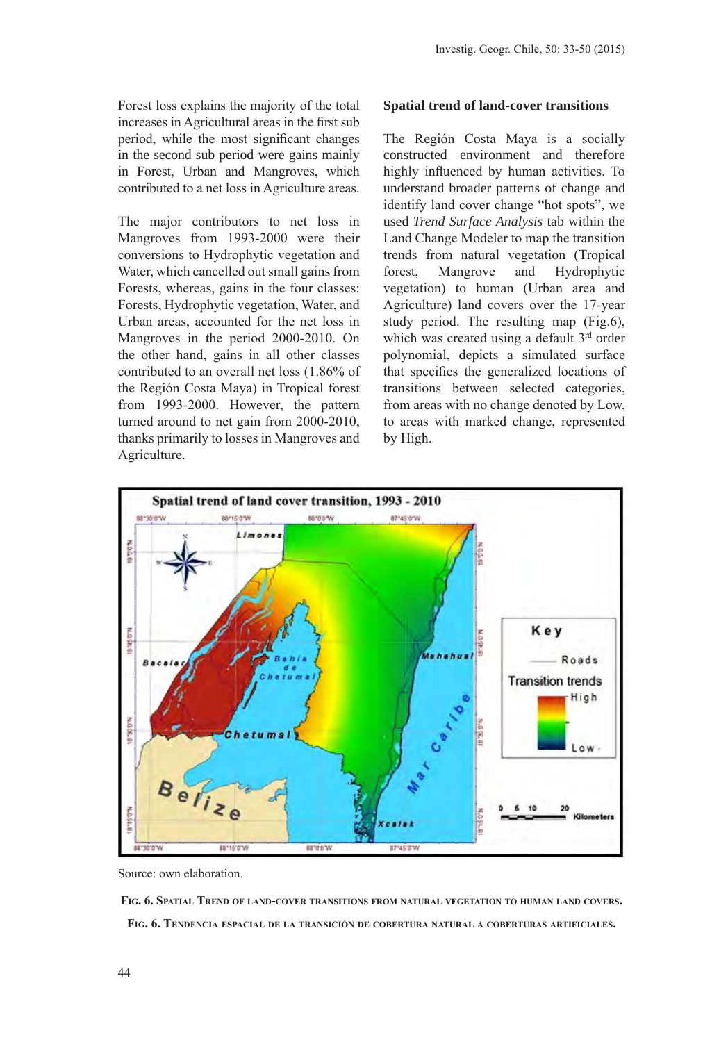Forest loss explains the majority of the total increases in Agricultural areas in the first sub period, while the most significant changes in the second sub period were gains mainly in Forest, Urban and Mangroves, which contributed to a net loss in Agriculture areas.

The major contributors to net loss in Mangroves from 1993-2000 were their conversions to Hydrophytic vegetation and Water, which cancelled out small gains from Forests, whereas, gains in the four classes: Forests, Hydrophytic vegetation, Water, and Urban areas, accounted for the net loss in Mangroves in the period 2000-2010. On the other hand, gains in all other classes contributed to an overall net loss (1.86% of the Región Costa Maya) in Tropical forest from 1993-2000. However, the pattern turned around to net gain from 2000-2010, thanks primarily to losses in Mangroves and Agriculture.

#### **Spatial trend of land-cover transitions**

The Región Costa Maya is a socially constructed environment and therefore highly influenced by human activities. To understand broader patterns of change and identify land cover change "hot spots", we used *Trend Surface Analysis* tab within the Land Change Modeler to map the transition trends from natural vegetation (Tropical forest, Mangrove and Hydrophytic vegetation) to human (Urban area and Agriculture) land covers over the 17-year study period. The resulting map (Fig.6), which was created using a default 3<sup>rd</sup> order polynomial, depicts a simulated surface that specifies the generalized locations of transitions between selected categories, from areas with no change denoted by Low, to areas with marked change, represented by High.



Source: own elaboration.

**Fig. 6. Spatial Trend of land-cover transitions from natural vegetation to human land covers. Fig. 6. Tendencia espacial de la transición de cobertura natural <sup>a</sup> coberturas artificiales.**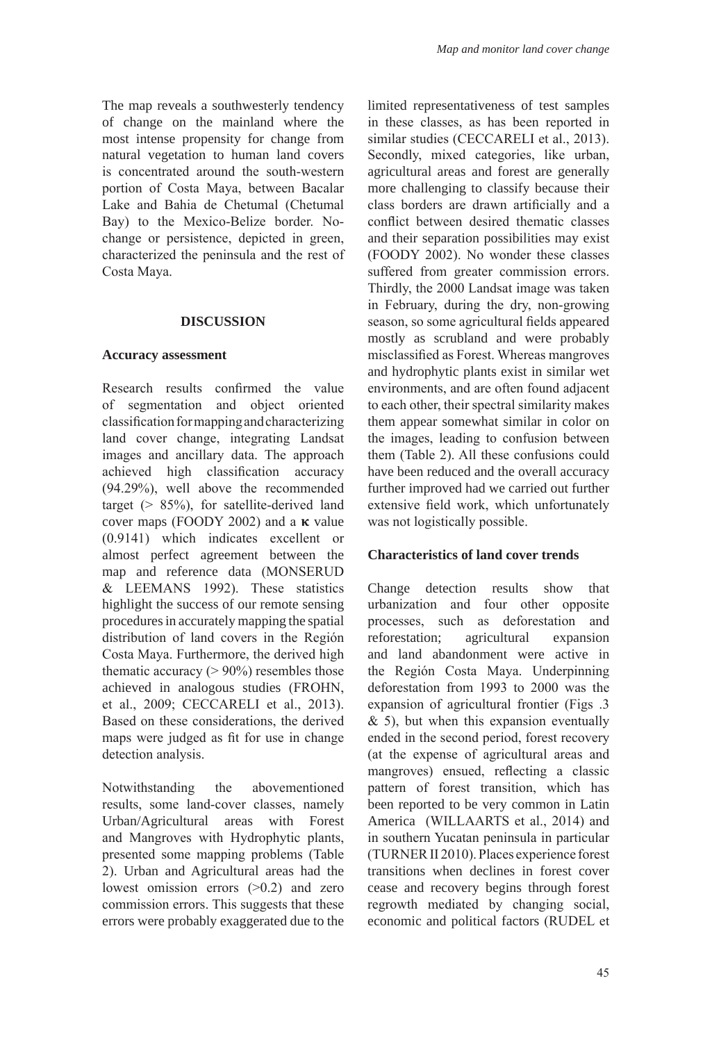The map reveals a southwesterly tendency of change on the mainland where the most intense propensity for change from natural vegetation to human land covers is concentrated around the south-western portion of Costa Maya, between Bacalar Lake and Bahia de Chetumal (Chetumal Bay) to the Mexico-Belize border. Nochange or persistence, depicted in green, characterized the peninsula and the rest of Costa Maya.

# **DISCUSSION**

#### **Accuracy assessment**

Research results confirmed the value of segmentation and object oriented classification for mapping and characterizing land cover change, integrating Landsat images and ancillary data. The approach achieved high classification accuracy (94.29%), well above the recommended target ( $> 85\%$ ), for satellite-derived land cover maps (FOODY 2002) and a  $\kappa$  value (0.9141) which indicates excellent or almost perfect agreement between the map and reference data (MONSERUD & LEEMANS 1992). These statistics highlight the success of our remote sensing procedures in accurately mapping the spatial distribution of land covers in the Región Costa Maya. Furthermore, the derived high thematic accuracy  $(> 90\%)$  resembles those achieved in analogous studies (FROHN, et al., 2009; CECCARELI et al., 2013). Based on these considerations, the derived maps were judged as fit for use in change detection analysis.

Notwithstanding the abovementioned results, some land-cover classes, namely Urban/Agricultural areas with Forest and Mangroves with Hydrophytic plants, presented some mapping problems (Table 2). Urban and Agricultural areas had the lowest omission errors (>0.2) and zero commission errors. This suggests that these errors were probably exaggerated due to the

limited representativeness of test samples in these classes, as has been reported in similar studies (CECCARELI et al., 2013). Secondly, mixed categories, like urban, agricultural areas and forest are generally more challenging to classify because their class borders are drawn artificially and a conflict between desired thematic classes and their separation possibilities may exist (FOODY 2002). No wonder these classes suffered from greater commission errors. Thirdly, the 2000 Landsat image was taken in February, during the dry, non-growing season, so some agricultural fields appeared mostly as scrubland and were probably misclassified as Forest. Whereas mangroves and hydrophytic plants exist in similar wet environments, and are often found adjacent to each other, their spectral similarity makes them appear somewhat similar in color on the images, leading to confusion between them (Table 2). All these confusions could have been reduced and the overall accuracy further improved had we carried out further extensive field work, which unfortunately was not logistically possible.

# **Characteristics of land cover trends**

Change detection results show that urbanization and four other opposite processes, such as deforestation and reforestation; agricultural expansion and land abandonment were active in the Región Costa Maya. Underpinning deforestation from 1993 to 2000 was the expansion of agricultural frontier (Figs .3  $\&$  5), but when this expansion eventually ended in the second period, forest recovery (at the expense of agricultural areas and mangroves) ensued, reflecting a classic pattern of forest transition, which has been reported to be very common in Latin America (WILLAARTS et al., 2014) and in southern Yucatan peninsula in particular (TURNER II 2010). Places experience forest transitions when declines in forest cover cease and recovery begins through forest regrowth mediated by changing social, economic and political factors (RUDEL et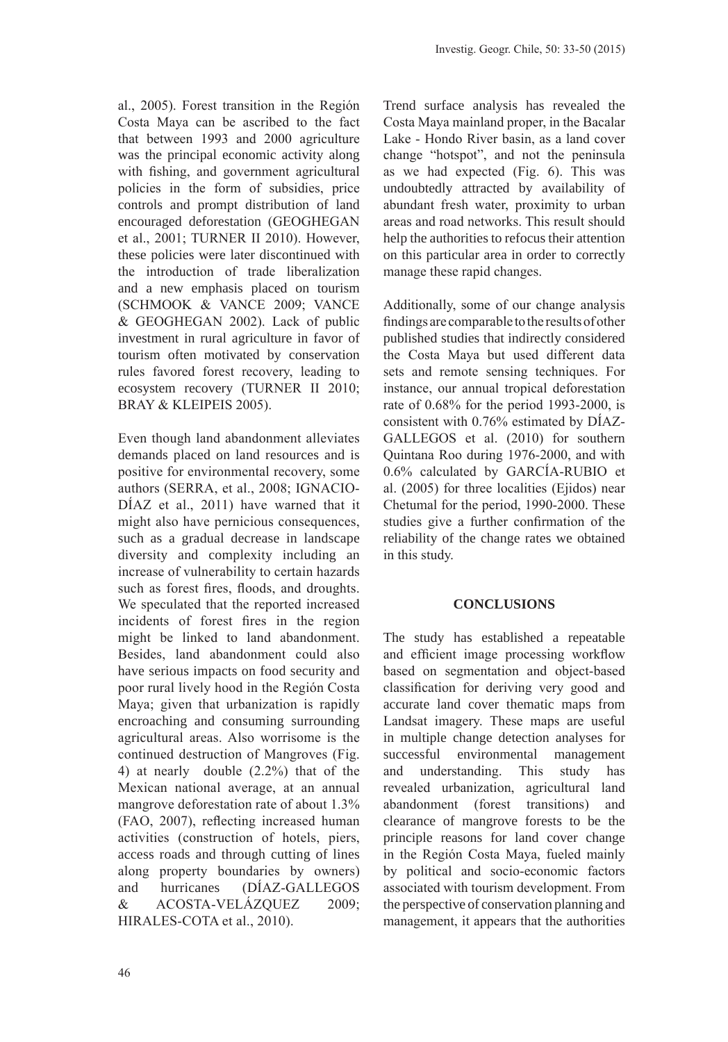al., 2005). Forest transition in the Región Costa Maya can be ascribed to the fact that between 1993 and 2000 agriculture was the principal economic activity along with fishing, and government agricultural policies in the form of subsidies, price controls and prompt distribution of land encouraged deforestation (GEOGHEGAN et al., 2001; TURNER II 2010). However, these policies were later discontinued with the introduction of trade liberalization and a new emphasis placed on tourism (SCHMOOK & VANCE 2009; VANCE & GEOGHEGAN 2002). Lack of public investment in rural agriculture in favor of tourism often motivated by conservation rules favored forest recovery, leading to ecosystem recovery (TURNER II 2010; BRAY & KLEIPEIS 2005).

Even though land abandonment alleviates demands placed on land resources and is positive for environmental recovery, some authors (SERRA, et al., 2008; IGNACIO-DÍAZ et al., 2011) have warned that it might also have pernicious consequences, such as a gradual decrease in landscape diversity and complexity including an increase of vulnerability to certain hazards such as forest fires, floods, and droughts. We speculated that the reported increased incidents of forest fires in the region might be linked to land abandonment. Besides, land abandonment could also have serious impacts on food security and poor rural lively hood in the Región Costa Maya; given that urbanization is rapidly encroaching and consuming surrounding agricultural areas. Also worrisome is the continued destruction of Mangroves (Fig. 4) at nearly double (2.2%) that of the Mexican national average, at an annual mangrove deforestation rate of about 1.3% (FAO, 2007), reflecting increased human activities (construction of hotels, piers, access roads and through cutting of lines along property boundaries by owners) and hurricanes (DÍAZ-GALLEGOS & ACOSTA-VELÁZQUEZ 2009; HIRALES-COTA et al., 2010).

Trend surface analysis has revealed the Costa Maya mainland proper, in the Bacalar Lake - Hondo River basin, as a land cover change "hotspot", and not the peninsula as we had expected (Fig. 6). This was undoubtedly attracted by availability of abundant fresh water, proximity to urban areas and road networks. This result should help the authorities to refocus their attention on this particular area in order to correctly manage these rapid changes.

Additionally, some of our change analysis findings are comparable to the results of other published studies that indirectly considered the Costa Maya but used different data sets and remote sensing techniques. For instance, our annual tropical deforestation rate of 0.68% for the period 1993-2000, is consistent with 0.76% estimated by DÍAZ-GALLEGOS et al. (2010) for southern Quintana Roo during 1976-2000, and with 0.6% calculated by GARCÍA-RUBIO et al. (2005) for three localities (Ejidos) near Chetumal for the period, 1990-2000. These studies give a further confirmation of the reliability of the change rates we obtained in this study.

# **CONCLUSIONS**

The study has established a repeatable and efficient image processing workflow based on segmentation and object-based classification for deriving very good and accurate land cover thematic maps from Landsat imagery. These maps are useful in multiple change detection analyses for successful environmental management and understanding. This study has revealed urbanization, agricultural land abandonment (forest transitions) and clearance of mangrove forests to be the principle reasons for land cover change in the Región Costa Maya, fueled mainly by political and socio-economic factors associated with tourism development. From the perspective of conservation planning and management, it appears that the authorities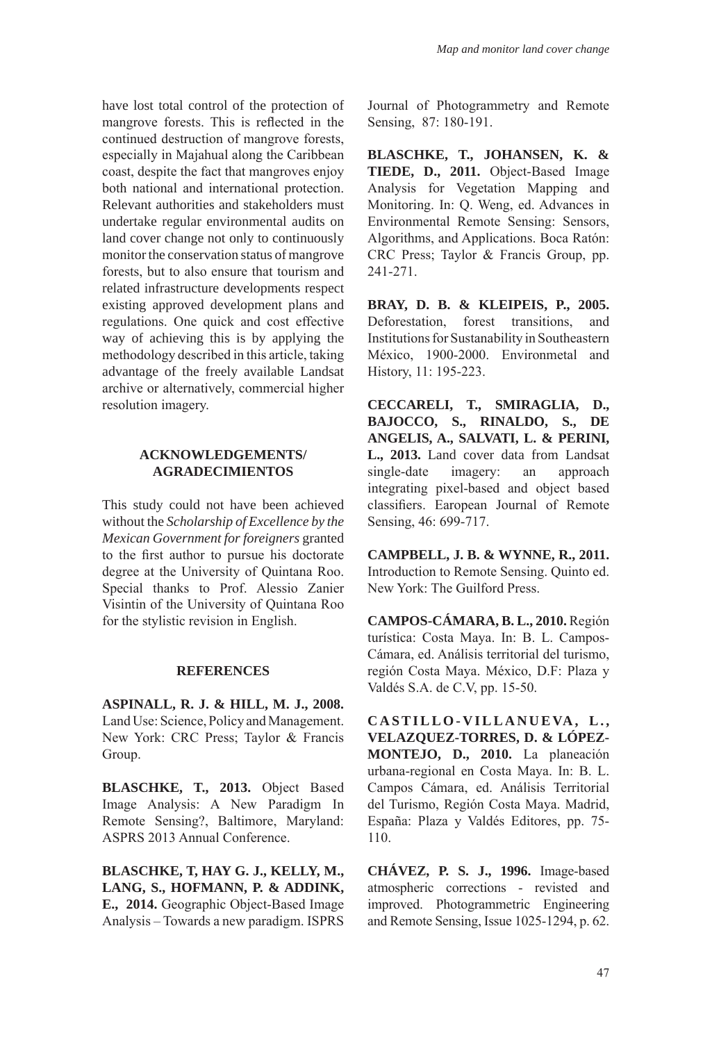have lost total control of the protection of mangrove forests. This is reflected in the continued destruction of mangrove forests, especially in Majahual along the Caribbean coast, despite the fact that mangroves enjoy both national and international protection. Relevant authorities and stakeholders must undertake regular environmental audits on land cover change not only to continuously monitor the conservation status of mangrove forests, but to also ensure that tourism and related infrastructure developments respect existing approved development plans and regulations. One quick and cost effective way of achieving this is by applying the methodology described in this article, taking advantage of the freely available Landsat archive or alternatively, commercial higher resolution imagery.

# **ACKNOWLEDGEMENTS/ AGRADECIMIENTOS**

This study could not have been achieved without the *Scholarship of Excellence by the Mexican Government for foreigners* granted to the first author to pursue his doctorate degree at the University of Quintana Roo. Special thanks to Prof. Alessio Zanier Visintin of the University of Quintana Roo for the stylistic revision in English.

# **REFERENCES**

**ASPINALL, R. J. & HILL, M. J., 2008.**  Land Use: Science, Policy and Management. New York: CRC Press; Taylor & Francis Group.

**BLASCHKE, T., 2013.** Object Based Image Analysis: A New Paradigm In Remote Sensing?, Baltimore, Maryland: ASPRS 2013 Annual Conference.

**BLASCHKE, T, HAY G. J., KELLY, M., LANG, S., HOFMANN, P. & ADDINK, E., 2014.** Geographic Object-Based Image Analysis – Towards a new paradigm. ISPRS

Journal of Photogrammetry and Remote Sensing, 87: 180-191.

**BLASCHKE, T., JOHANSEN, K. & TIEDE, D., 2011.** Object-Based Image Analysis for Vegetation Mapping and Monitoring. In: Q. Weng, ed. Advances in Environmental Remote Sensing: Sensors, Algorithms, and Applications. Boca Ratón: CRC Press; Taylor & Francis Group, pp. 241-271.

**BRAY, D. B. & KLEIPEIS, P., 2005.**  Deforestation, forest transitions, and Institutions for Sustanability in Southeastern México, 1900-2000. Environmetal and History, 11: 195-223.

**CECCARELI, T., SMIRAGLIA, D., BAJOCCO, S., RINALDO, S., DE ANGELIS, A., SALVATI, L. & PERINI, L., 2013.** Land cover data from Landsat single-date imagery: an approach integrating pixel-based and object based classifiers. Earopean Journal of Remote Sensing, 46: 699-717.

**CAMPBELL, J. B. & WYNNE, R., 2011.**  Introduction to Remote Sensing. Quinto ed. New York: The Guilford Press.

**CAMPOS-CÁMARA, B. L., 2010.** Región turística: Costa Maya. In: B. L. Campos-Cámara, ed. Análisis territorial del turismo, región Costa Maya. México, D.F: Plaza y Valdés S.A. de C.V, pp. 15-50.

CASTILLO-VILLANUEVA, L., **VELAZQUEZ-TORRES, D. & LÓPEZ-MONTEJO, D., 2010.** La planeación urbana-regional en Costa Maya. In: B. L. Campos Cámara, ed. Análisis Territorial del Turismo, Región Costa Maya. Madrid, España: Plaza y Valdés Editores, pp. 75- 110.

**CHÁVEZ, P. S. J., 1996.** Image-based atmospheric corrections - revisted and improved. Photogrammetric Engineering and Remote Sensing, Issue 1025-1294, p. 62.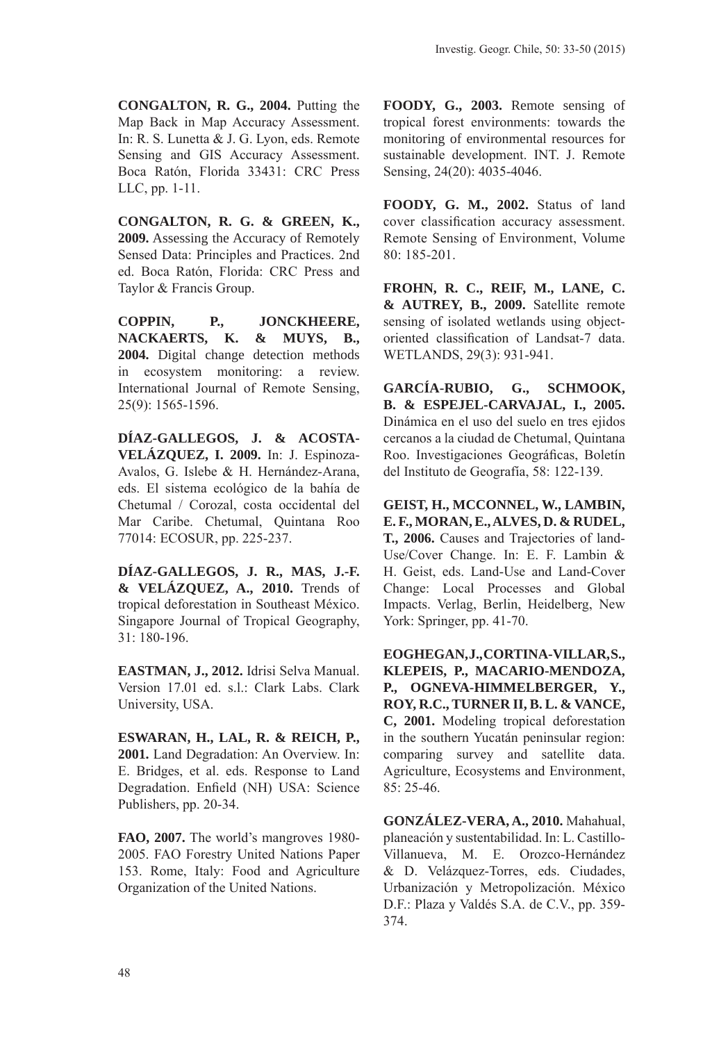**CONGALTON, R. G., 2004.** Putting the Map Back in Map Accuracy Assessment. In: R. S. Lunetta & J. G. Lyon, eds. Remote Sensing and GIS Accuracy Assessment. Boca Ratón, Florida 33431: CRC Press LLC, pp. 1-11.

**CONGALTON, R. G. & GREEN, K., 2009.** Assessing the Accuracy of Remotely Sensed Data: Principles and Practices. 2nd ed. Boca Ratón, Florida: CRC Press and Taylor & Francis Group.

**COPPIN, P., JONCKHEERE, NACKAERTS, K. & MUYS, B., 2004.** Digital change detection methods in ecosystem monitoring: a review. International Journal of Remote Sensing, 25(9): 1565-1596.

**DÍAZ-GALLEGOS, J. & ACOSTA-VELÁZQUEZ, I. 2009.** In: J. Espinoza-Avalos, G. Islebe & H. Hernández-Arana, eds. El sistema ecológico de la bahía de Chetumal / Corozal, costa occidental del Mar Caribe. Chetumal, Quintana Roo 77014: ECOSUR, pp. 225-237.

**DÍAZ-GALLEGOS, J. R., MAS, J.-F. & VELÁZQUEZ, A., 2010.** Trends of tropical deforestation in Southeast México. Singapore Journal of Tropical Geography, 31: 180-196.

**EASTMAN, J., 2012.** Idrisi Selva Manual. Version 17.01 ed. s.l.: Clark Labs. Clark University, USA.

**ESWARAN, H., LAL, R. & REICH, P., 2001.** Land Degradation: An Overview. In: E. Bridges, et al. eds. Response to Land Degradation. Enfield (NH) USA: Science Publishers, pp. 20-34.

**FAO, 2007.** The world's mangroves 1980- 2005. FAO Forestry United Nations Paper 153. Rome, Italy: Food and Agriculture Organization of the United Nations.

**FOODY, G., 2003.** Remote sensing of tropical forest environments: towards the monitoring of environmental resources for sustainable development. INT. J. Remote Sensing, 24(20): 4035-4046.

**FOODY, G. M., 2002.** Status of land cover classification accuracy assessment. Remote Sensing of Environment, Volume 80: 185-201.

**FROHN, R. C., REIF, M., LANE, C. & AUTREY, B., 2009.** Satellite remote sensing of isolated wetlands using objectoriented classification of Landsat-7 data. WETLANDS, 29(3): 931-941.

**GARCÍA-RUBIO, G., SCHMOOK, B. & ESPEJEL-CARVAJAL, I., 2005.** Dinámica en el uso del suelo en tres ejidos cercanos a la ciudad de Chetumal, Quintana Roo. Investigaciones Geográficas, Boletín del Instituto de Geografía, 58: 122-139.

**GEIST, H., MCCONNEL, W., LAMBIN, E. F., MORAN, E., ALVES, D. & RUDEL, T., 2006.** Causes and Trajectories of land-Use/Cover Change. In: E. F. Lambin & H. Geist, eds. Land-Use and Land-Cover Change: Local Processes and Global Impacts. Verlag, Berlin, Heidelberg, New York: Springer, pp. 41-70.

EOGHEGAN, J., CORTINA-VILLAR, S., **KLEPEIS, P., MACARIO-MENDOZA, P., OGNEVA-HIMMELBERGER, Y., ROY, R.C., TURNER II, B. L. & VANCE, C, 2001.** Modeling tropical deforestation in the southern Yucatán peninsular region: comparing survey and satellite data. Agriculture, Ecosystems and Environment, 85: 25-46.

**GONZÁLEZ-VERA, A., 2010.** Mahahual, planeación y sustentabilidad. In: L. Castillo-Villanueva, M. E. Orozco-Hernández & D. Velázquez-Torres, eds. Ciudades, Urbanización y Metropolización. México D.F.: Plaza y Valdés S.A. de C.V., pp. 359- 374.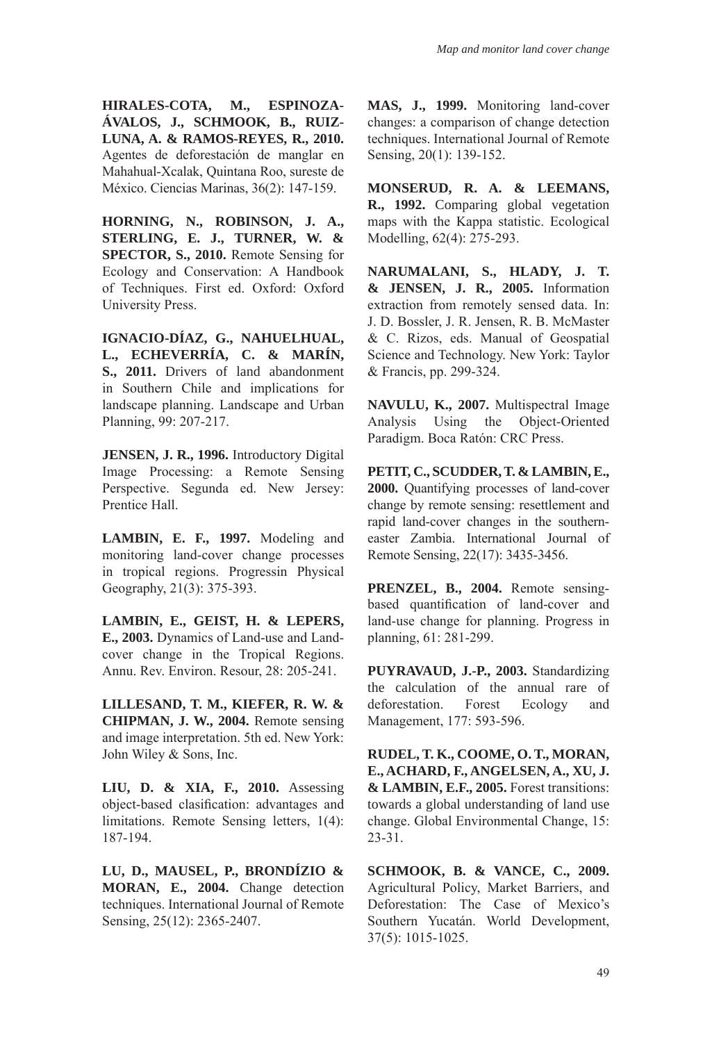**HIRALES-COTA, M., ESPINOZA-ÁVALOS, J., SCHMOOK, B., RUIZ-LUNA, A. & RAMOS-REYES, R., 2010.** Agentes de deforestación de manglar en Mahahual-Xcalak, Quintana Roo, sureste de México. Ciencias Marinas, 36(2): 147-159.

**HORNING, N., ROBINSON, J. A., STERLING, E. J., TURNER, W. & SPECTOR, S., 2010.** Remote Sensing for Ecology and Conservation: A Handbook of Techniques. First ed. Oxford: Oxford University Press.

**IGNACIO-DÍAZ, G., NAHUELHUAL, L., ECHEVERRÍA, C. & MARÍN, S., 2011.** Drivers of land abandonment in Southern Chile and implications for landscape planning. Landscape and Urban Planning, 99: 207-217.

**JENSEN, J. R., 1996.** Introductory Digital Image Processing: a Remote Sensing Perspective. Segunda ed. New Jersey: Prentice Hall.

**LAMBIN, E. F., 1997.** Modeling and monitoring land-cover change processes in tropical regions. Progressin Physical Geography, 21(3): 375-393.

**LAMBIN, E., GEIST, H. & LEPERS, E., 2003.** Dynamics of Land-use and Landcover change in the Tropical Regions. Annu. Rev. Environ. Resour, 28: 205-241.

**LILLESAND, T. M., KIEFER, R. W. & CHIPMAN, J. W., 2004.** Remote sensing and image interpretation. 5th ed. New York: John Wiley & Sons, Inc.

**LIU, D. & XIA, F., 2010.** Assessing object-based clasification: advantages and limitations. Remote Sensing letters, 1(4): 187-194.

**LU, D., MAUSEL, P., BRONDÍZIO & MORAN, E., 2004.** Change detection techniques. International Journal of Remote Sensing, 25(12): 2365-2407.

**MAS, J., 1999.** Monitoring land-cover changes: a comparison of change detection techniques. International Journal of Remote Sensing, 20(1): 139-152.

**MONSERUD, R. A. & LEEMANS, R., 1992.** Comparing global vegetation maps with the Kappa statistic. Ecological Modelling, 62(4): 275-293.

**NARUMALANI, S., HLADY, J. T. & JENSEN, J. R., 2005.** Information extraction from remotely sensed data. In: J. D. Bossler, J. R. Jensen, R. B. McMaster & C. Rizos, eds. Manual of Geospatial Science and Technology. New York: Taylor & Francis, pp. 299-324.

**NAVULU, K., 2007.** Multispectral Image Analysis Using the Object-Oriented Paradigm. Boca Ratón: CRC Press.

**PETIT, C., SCUDDER, T. & LAMBIN, E., 2000.** Quantifying processes of land-cover change by remote sensing: resettlement and rapid land-cover changes in the southerneaster Zambia. International Journal of Remote Sensing, 22(17): 3435-3456.

**PRENZEL, B., 2004.** Remote sensingbased quantification of land-cover and land-use change for planning. Progress in planning, 61: 281-299.

**PUYRAVAUD, J.-P., 2003.** Standardizing the calculation of the annual rare of deforestation. Forest Ecology and Management, 177: 593-596.

**RUDEL, T. K., COOME, O. T., MORAN, E., ACHARD, F., ANGELSEN, A., XU, J. & LAMBIN, E.F., 2005.** Forest transitions: towards a global understanding of land use change. Global Environmental Change, 15: 23-31.

**SCHMOOK, B. & VANCE, C., 2009.**  Agricultural Policy, Market Barriers, and Deforestation: The Case of Mexico's Southern Yucatán. World Development, 37(5): 1015-1025.